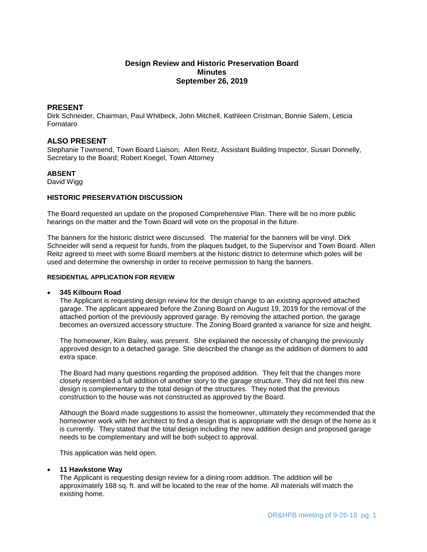# **Design Review and Historic Preservation Board Minutes September 26, 2019**

# **PRESENT**

Dirk Schneider, Chairman, Paul Whitbeck, John Mitchell, Kathleen Cristman, Bonnie Salem, Leticia Fornataro

# **ALSO PRESENT**

Stephanie Townsend, Town Board Liaison; Allen Reitz, Assistant Building Inspector, Susan Donnelly, Secretary to the Board; Robert Koegel, Town Attorney

### **ABSENT**

David Wigg

### **HISTORIC PRESERVATION DISCUSSION**

The Board requested an update on the proposed Comprehensive Plan. There will be no more public hearings on the matter and the Town Board will vote on the proposal in the future.

The banners for the historic district were discussed. The material for the banners will be vinyl. Dirk Schneider will send a request for funds, from the plaques budget, to the Supervisor and Town Board. Allen Reitz agreed to meet with some Board members at the historic district to determine which poles will be used and determine the ownership in order to receive permission to hang the banners.

### **RESIDENTIAL APPLICATION FOR REVIEW**

### **345 Kilbourn Road**

The Applicant is requesting design review for the design change to an existing approved attached garage. The applicant appeared before the Zoning Board on August 19, 2019 for the removal of the attached portion of the previously approved garage. By removing the attached portion, the garage becomes an oversized accessory structure. The Zoning Board granted a variance for size and height.

The homeowner, Kim Bailey, was present. She explained the necessity of changing the previously approved design to a detached garage. She described the change as the addition of dormers to add extra space.

The Board had many questions regarding the proposed addition. They felt that the changes more closely resembled a full addition of another story to the garage structure. They did not feel this new design is complementary to the total design of the structures. They noted that the previous construction to the house was not constructed as approved by the Board.

Although the Board made suggestions to assist the homeowner, ultimately they recommended that the homeowner work with her architect to find a design that is appropriate with the design of the home as it is currently. They stated that the total design including the new addition design and proposed garage needs to be complementary and will be both subject to approval.

This application was held open.

### **11 Hawkstone Way**

The Applicant is requesting design review for a dining room addition. The addition will be approximately 168 sq. ft. and will be located to the rear of the home. All materials will match the existing home.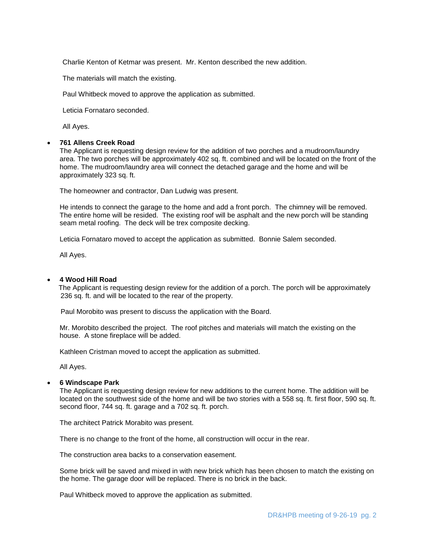Charlie Kenton of Ketmar was present. Mr. Kenton described the new addition.

The materials will match the existing.

Paul Whitbeck moved to approve the application as submitted.

Leticia Fornataro seconded.

All Ayes.

#### **761 Allens Creek Road**

The Applicant is requesting design review for the addition of two porches and a mudroom/laundry area. The two porches will be approximately 402 sq. ft. combined and will be located on the front of the home. The mudroom/laundry area will connect the detached garage and the home and will be approximately 323 sq. ft.

The homeowner and contractor, Dan Ludwig was present.

He intends to connect the garage to the home and add a front porch. The chimney will be removed. The entire home will be resided. The existing roof will be asphalt and the new porch will be standing seam metal roofing. The deck will be trex composite decking.

Leticia Fornataro moved to accept the application as submitted. Bonnie Salem seconded.

All Ayes.

#### **4 Wood Hill Road**

 The Applicant is requesting design review for the addition of a porch. The porch will be approximately 236 sq. ft. and will be located to the rear of the property.

Paul Morobito was present to discuss the application with the Board.

Mr. Morobito described the project. The roof pitches and materials will match the existing on the house. A stone fireplace will be added.

Kathleen Cristman moved to accept the application as submitted.

All Ayes.

### **6 Windscape Park**

The Applicant is requesting design review for new additions to the current home. The addition will be located on the southwest side of the home and will be two stories with a 558 sq. ft. first floor, 590 sq. ft. second floor, 744 sq. ft. garage and a 702 sq. ft. porch.

The architect Patrick Morabito was present.

There is no change to the front of the home, all construction will occur in the rear.

The construction area backs to a conservation easement.

Some brick will be saved and mixed in with new brick which has been chosen to match the existing on the home. The garage door will be replaced. There is no brick in the back.

Paul Whitbeck moved to approve the application as submitted.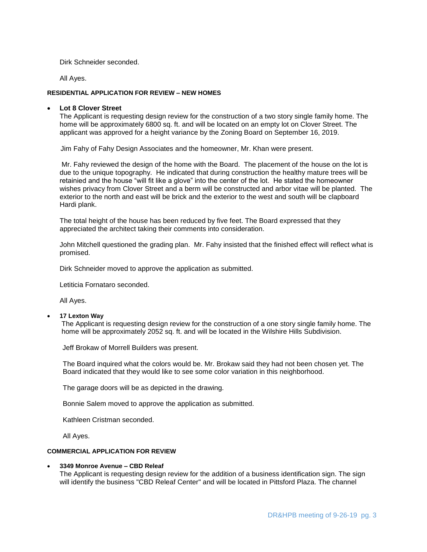Dirk Schneider seconded.

All Ayes.

#### **RESIDENTIAL APPLICATION FOR REVIEW – NEW HOMES**

#### **Lot 8 Clover Street**

The Applicant is requesting design review for the construction of a two story single family home. The home will be approximately 6800 sq. ft. and will be located on an empty lot on Clover Street. The applicant was approved for a height variance by the Zoning Board on September 16, 2019.

Jim Fahy of Fahy Design Associates and the homeowner, Mr. Khan were present.

Mr. Fahy reviewed the design of the home with the Board. The placement of the house on the lot is due to the unique topography. He indicated that during construction the healthy mature trees will be retainied and the house "will fit like a glove" into the center of the lot. He stated the homeowner wishes privacy from Clover Street and a berm will be constructed and arbor vitae will be planted. The exterior to the north and east will be brick and the exterior to the west and south will be clapboard Hardi plank.

The total height of the house has been reduced by five feet. The Board expressed that they appreciated the architect taking their comments into consideration.

John Mitchell questioned the grading plan. Mr. Fahy insisted that the finished effect will reflect what is promised.

Dirk Schneider moved to approve the application as submitted.

Letiticia Fornataro seconded.

All Ayes.

### **17 Lexton Way**

The Applicant is requesting design review for the construction of a one story single family home. The home will be approximately 2052 sq. ft. and will be located in the Wilshire Hills Subdivision.

Jeff Brokaw of Morrell Builders was present.

The Board inquired what the colors would be. Mr. Brokaw said they had not been chosen yet. The Board indicated that they would like to see some color variation in this neighborhood.

The garage doors will be as depicted in the drawing.

Bonnie Salem moved to approve the application as submitted.

Kathleen Cristman seconded.

All Ayes.

#### **COMMERCIAL APPLICATION FOR REVIEW**

#### **3349 Monroe Avenue – CBD Releaf**

The Applicant is requesting design review for the addition of a business identification sign. The sign will identify the business "CBD Releaf Center" and will be located in Pittsford Plaza. The channel